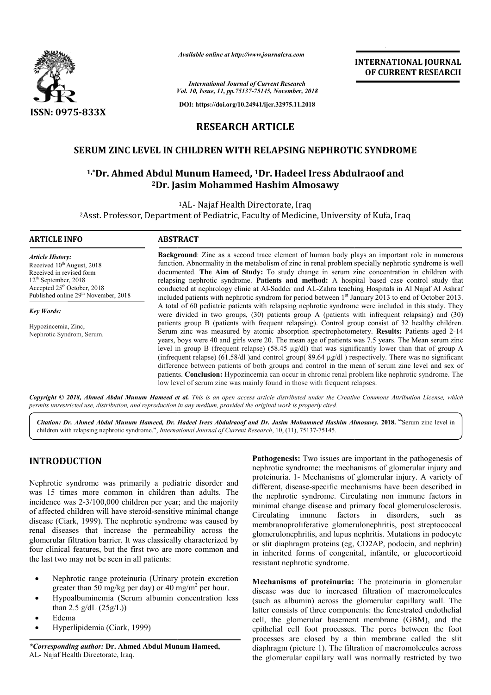

*Available online at http://www.journalcra.com*

*Vol. 10, Issue, 11, pp.75137-75145, November, 2018 International Journal of Current Research*

**DOI: https://doi.org/10.24941/ijcr.32975.11.2018**

# **INTERNATIONAL JOURNAL OF CURRENT RESEARCH**

**RESEARCH ARTICLE**

# **SERUM ZINC LEVEL IN CHILDREN WITH RELAPSING NEPHROTIC SYNDROME**

# RUM ZINC LEVEL IN CHILDREN WITH RELAPSING NEPHROTIC SYNDROME<br><sup>1,</sup>\*Dr. Ahmed Abdul Munum Hameed, <sup>1</sup>Dr. Hadeel Iress Abdulraoof and **2Dr. Jasim Mohammed Hashim Almosawy Dr.**

1AL- Najaf Health Directorate, Iraq

<sup>2</sup>Asst. Professor, Department of Pediatric, Faculty of Medicine, University of Kufa, Iraq

#### **ARTICLE INFO ABSTRACT**

*Article History:* Received 10<sup>th</sup> August, 2018 Received in revised form 12th September, 2018 Accepted 25<sup>th</sup> October, 2018 Published online 29<sup>th</sup> November, 2018

*Key Words:*

Hypozincemia, Zinc, Nephrotic Syndrom, Serum.

**Background** : Zinc as a second trace element of human body plays an important role in numerous function function. Abnormality in the metabolism of zinc in renal problem specially nephrotic syndrome is well documented. **The Aim of Study:** To study change in serum zinc concentration in children with relapsing nephrotic syndrome. **Patients and method:** A hospital based case control study that conducted at nephrology clinic at Al Al-Sadder and AL-Zahra teaching Hospitals in Al Najaf Al Ashraf included patients with nephrotic syndrom for period between 1<sup>st</sup> January 2013 to end of October 2013. A total of 60 pediatric patients with relapsing nephrotic syndrome were included in this study. They were divided in two groups,  $(30)$  patients group A (patients with infrequent relapsing) and  $(30)$ patients group B (patients with frequent relapsing). Control group consist of 32 healthy children. patients group B (patients with frequent relapsing). Control group consist of 32 healthy children.<br>Serum zinc was measured by atomic absorption spectrophotometery. **Results:** Patients aged 2-14 years, boys were 40 and girls were 20. The mean age of patients was 7.5 years. The Mean serum zinc years, boys were 40 and girls were 20. The mean age of patients was 7.5 years. The Mean serum zinc<br>level in group B (frequent relapse) (58.45  $\mu$ g/dl) that was significantly lower than that of group A (infrequent relapse) (61.58/dl )and control group(  $89.64 \mu g/dl$  ) respectively. There was no significant difference between patients of both groups and control in the mean of serum zinc level and sex of patients. **Conclusion:** Hypozincemia can occur in chronic renal problem l low level of serum zinc was mainly found in those with frequent relapses. **Background**: Zinc as a second trace element of human body plays an important role in numerous function. Abnormality in the metabolism of zinc in renal problem specially nephrotic syndrome is well documented. **The Aim of S** p( 89.64 µg/dl ) respectively. There was no significant d control in the mean of serum zinc level and sex of in chronic renal problem like nephrotic syndrome. The between the 1). of macromolecules ary restricted

Copyright © 2018, Ahmed Abdul Munum Hameed et al. This is an open access article distributed under the Creative Commons Attribution License, which permits unrestricted use, distribution, and reproduction in any medium, provided the original work is properly cited.

Citation: Dr. Ahmed Abdul Munum Hameed, Dr. Hadeel Iress Abdulraoof and Dr. Jasim Mohammed Hashim Almosawy. 2018. "Serum zinc level in children with relapsing nephrotic syndrome.", *International Journal of Current Research*, 10, (11), 75137-75145.

# **INTRODUCTION**

Nephrotic syndrome was primarily a pediatric disorder and was 15 times more common in children than adults. The incidence was 2-3/100,000 children per year; and the majority of affected children will have steroid-sensitive minimal change disease (Ciark, 1999). The nephrotic syndrome was caused by renal diseases that increase the permeability across the glomerular filtration barrier. It was classically characterized by four clinical features, but the first two are more common and the last two may not be seen in all patients: 3/100,000 children per year; and the major<br>en will have steroid-sensitive minimal char<br>999). The nephrotic syndrome was caused<br>that increase the permeability across<br>ion barrier. It was classically characterized<br>ures, but

- Nephrotic range proteinuria (Urinary protein excretion greater than 50 mg/kg per day) or 40 mg/m<sup>2</sup> per hour.
- Hypoalbuminemia (Serum albumin concentration less than  $2.5$  g/dL  $(25g/L)$ )
- Edema
- Hyperlipidemia (Ciark, 1999)

*\*Corresponding author:* **Dr. Ahmed Abdul Munum Hameed Hameed,** AL- Najaf Health Directorate, Iraq.

**Pathogenesis:** Two issues are important in the pathogenesis of Pathogenesis: Two issues are important in the pathogenesis of nephrotic syndrome: the mechanisms of glomerular injury and proteinuria. 1- Mechanisms of glomerular injury. A variety of different, disease-specific mechanisms have been described in the nephrotic syndrome. Circulating non immune factors in minimal change disease and primary focal glomerulosclerosis. Circulating immune factors in disorders, such as membranoproliferative glomerulonephritis, post streptococcal glomerulonephritis, and lupus nephritis. or slit diaphragm proteins (eg, CD2AP, podocin, and nephrin) in inherited forms of congenital, infantile, or glucocorticoid resistant nephrotic syndrome. in inherited forms of congenital, infantile, or glucocorticoid<br>
resistant nephrotic syndrome.<br> **Mechanisms of proteinuria:** The proteinuria in glomerular different, disease-specific mechanisms have been described in<br>the nephrotic syndrome. Circulating non immune factors in<br>minimal change disease and primary focal glomerulosclerosis.<br>Circulating immune factors in disorders,

disease was due to increased filtration of macromolecules (such as albumin) across the glomerular capillary wall. The latter consists of three components: the fenestrated endothelial cell, the glomerular basement membrane (GBM), and the epithelial cell foot processes. The pores between the foot processes are closed by a thin membrane called the slit diaphragm (picture 1). The filtration of macromolecules across the glomerular capillary wall was normally restricted by two to increased filtration of macromolecules<br>across the glomerular capillary wall. The<br>precomponents: the fenestrated endothelial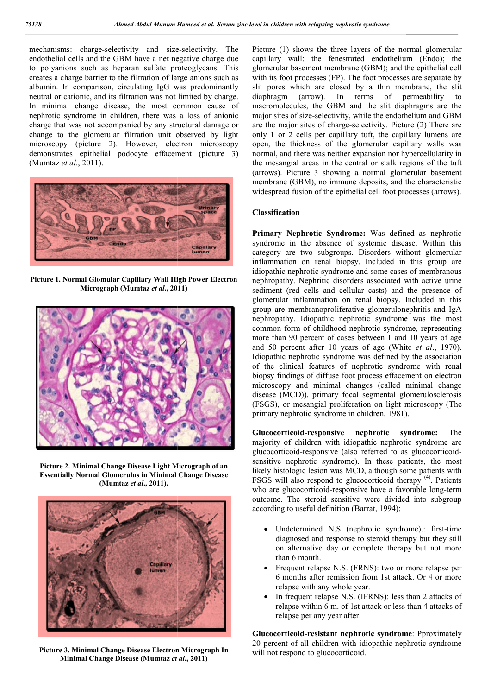mechanisms: charge-selectivity and size-selectivity. The endothelial cells and the GBM have a net negative charge due to polyanions such as heparan sulfate proteoglycans. This creates a charge barrier to the filtration of large anions such as albumin. In comparison, circulating IgG was predominantly neutral or cationic, and its filtration was not limited by charge. In minimal change disease, the most common cause of nephrotic syndrome in children, there was a loss of charge that was not accompanied by any structural damage or change to the glomerular filtration unit observed by light microscopy (picture 2). However, electron microscopy demonstrates epithelial podocyte effacement ( (picture 3) (Mumtaz *et al*., 2011). on of large anions such as<br>g IgG was predominantly<br>was not limited by charge.<br>most common cause of<br>ree was a loss of anionic



**Picture 1. Normal Glomular Capillary Wall High Power Electron Micrograph (Mumtaz** *et al***., 2011)**



**Picture 2. Minimal Change Disease Light Micrograph of an Essentially Normal Glomerulus in Minimal Change Disease (Mumtaz** *et al***., 2011).**



**Picture 3. Minimal Change Disease Electron Micrograph In Minimal Change Disease (Mumtaz** *et al* **., 2011)**

Picture (1) shows the three layers of the normal glomerular capillary wall: the fenestrated endothelium (Endo); the Picture (1) shows the three layers of the normal glomerular capillary wall: the fenestrated endothelium (Endo); the glomerular basement membrane (GBM); and the epithelial cell with its foot processes (FP). The foot processes are separate by slit pores which are closed by a thin membrane, the slit diaphragm (arrow). In terms of permeability to macromolecules, the GBM and the slit diaphragms are the major sites of size-selectivity, while the endothelium and GBM are the major sites of charge-selectivity. Picture (2) There are only 1 or 2 cells per capillary tuft, the capillary lumens are open, the thickness of the glomerular capillary walls was normal, and there was neither expansion nor hypercellularity in the mesangial areas in the central or stalk regions of the tuft (arrows). Picture 3 showing a normal glomerular basement membrane (GBM), no immune deposits, and the characteristic widespread fusion of the epithelial cell foot processes (arrows). with its foot processes (FP). The foot processes are separate by slit pores which are closed by a thin membrane, the slit diaphragm (arrow). In terms of permeability to macromolecules, the GBM and the slit diaphragms are t only 1 or 2 cells per capillary tuft, the capillary lumens are<br>open, the thickness of the glomerular capillary walls was<br>normal, and there was neither expansion nor hypercellularity in<br>the mesangial areas in the central or

#### **Classification**

**Primary Nephrotic Syndrome:** Was defined as nephrotic syndrome in the absence of systemic disease. Within this category are two subgroups. Disorders without glomerular inflammation on renal biopsy. Included in this group are idiopathic nephrotic syndrome and some cases of membranous nephropathy. Nephritic disorders associated with active urine sediment (red cells and cellular casts) and the presence of glomerular inflammation on renal biopsy. Includ group are membranoproliferative glomerulonephritis and IgA nephropathy. Idiopathic nephrotic syndrome was the most common form of childhood nephrotic syndrome, representing more than 90 percent of cases between 1 and 10 years of age nephropathy. Idiopathic nephrotic syndrome was the most common form of childhood nephrotic syndrome, representing more than 90 percent of cases between 1 and 10 years of age and 50 percent after 10 years of age (White *et* Idiopathic nephrotic syndrome was defined by the association of the clinical features of nephrotic syndrome with renal biopsy findings of diffuse foot process effacement on electron Idiopathic nephrotic syndrome was defined by the association<br>of the clinical features of nephrotic syndrome with renal<br>biopsy findings of diffuse foot process effacement on electron<br>microscopy and minimal changes (called m disease (MCD)), primary focal segmental glomerulosclerosis disease (MCD)), primary focal segmental glomerulosclerosis (FSGS), or mesangial proliferation on light microscopy (The primary nephrotic syndrome in children, 1981). ephrotic syndrome and some cases of membranous<br>The Nephritic disorders associated with active urine<br>ed cells and cellular casts) and the presence of<br>inflammation on renal biopsy. Included in this

**Glucocorticoid-responsive nephrotic syndrome:** The majority of children with idiopathic nephrotic syndrome are majority of children with idiopathic nephrotic syndrome are glucocorticoid-responsive (also referred to as glucocorticoidsensitive nephrotic syndrome). In these patients, the most sensitive nephrotic syndrome). In these patients, the most likely histologic lesion was MCD, although some patients with  $ESGS$  will also respond to glucosorticoid thermy  $(4)$  Patients FSGS will also respond to glucocorticoid therapy <sup>(4)</sup>. Patients who are glucocorticoid-responsive have a favorable long-term outcome. The steroid sensitive were divided into subgroup according to useful definition (Barrat, 1994): according to useful definition (Barrat

- Undetermined N.S (nephrotic syndrome).: first-time diagnosed and response to steroid therapy but they still on alternative day or complete therapy but not more than 6 month.
- Frequent relapse N.S. (FRNS): two or more relapse per 6 months after remission from 1st attack. Or 4 or more relapse with any whole year. ed and response to steroid therapy but they still<br>mative day or complete therapy but not more<br>nonth.<br>therefore the relapse N.S. (FRNS): two or more relapse per<br>as after remission from 1st attack. Or 4 or more<br>with any whol
- In frequent relapse N.S. (IFRNS): less than 2 attacks of relapse within 6 m. of 1st attack or less than 4 attacks of relapse per any year after.

**Glucocorticoid-resistant nephrotic syndrome**: Pproximately 20 percent of all children with idiopathic nephrotic syndrome will not respond to glucocorticoid.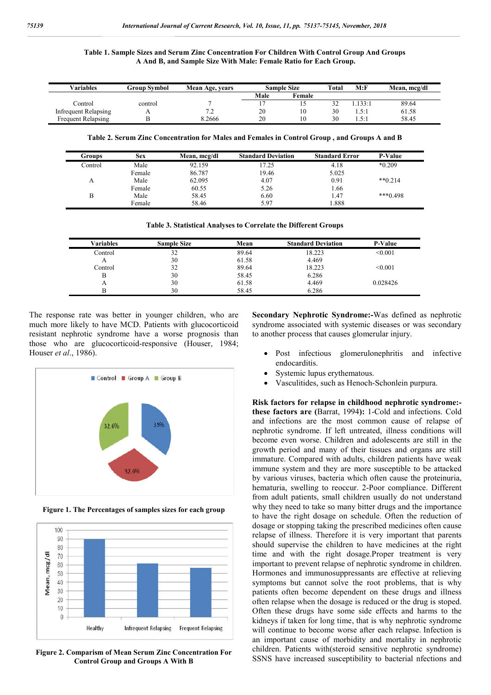| Table 1. Sample Sizes and Serum Zinc Concentration For Children With Control Group And Groups |
|-----------------------------------------------------------------------------------------------|
| A And B, and Sample Size With Male: Female Ratio for Each Group.                              |

| Variables            | Group Svmbol | Mean Age, years | <b>Sample Size</b> |        | <b>Total</b> | M: F             | Mean, mcg/dl |
|----------------------|--------------|-----------------|--------------------|--------|--------------|------------------|--------------|
|                      |              |                 | Male               | Female |              |                  |              |
| Control              | control      |                 |                    |        | ے ر          | .133:1           | 89.64        |
| Infrequent Relapsing | . .          | 73<br>-4        | 20                 | 10     | 30           | $5 - 1$<br>1.J.I | 61.58        |
| Frequent Relapsing   |              | 3.2666          | 20                 | 10     | 30           | $5 - 1$<br>1.7.1 | 58.45        |

**Table 2. Serum Zinc Concentration for Males and Females in Control Group , and Groups A and B**

| Groups  | Sex    | Mean, mcg/dl | <b>Standard Deviation</b> | <b>Standard Error</b> | <b>P-Value</b> |
|---------|--------|--------------|---------------------------|-----------------------|----------------|
| Control | Male   | 92.159       | 17.25                     | 4.18                  | $*0.209$       |
|         | Female | 86.787       | 19.46                     | 5.025                 |                |
| А       | Male   | 62.095       | 4.07                      | 0.91                  | $**0.214$      |
|         | Female | 60.55        | 5.26                      | 1.66                  |                |
| B       | Male   | 58.45        | 6.60                      | 1.47                  | $***0.498$     |
|         | Female | 58.46        | 5.97                      | 1.888                 |                |

**Table 3. Statistical Analyses to Correlate the Different Groups**

| Variables | <b>Sample Size</b> | Mean  | <b>Standard Deviation</b> | <b>P-Value</b> |
|-----------|--------------------|-------|---------------------------|----------------|
| Control   | 32                 | 89.64 | 18.223                    | < 0.001        |
| А         | 30                 | 61.58 | 4.469                     |                |
| Control   | 32                 | 89.64 | 18.223                    | < 0.001        |
| В         | 30                 | 58.45 | 6.286                     |                |
| A         | 30                 | 61.58 | 4.469                     | 0.028426       |
|           | 30                 | 58.45 | 6.286                     |                |

The response rate was better in younger children, who are much more likely to have MCD. Patients with glucocorticoid resistant nephrotic syndrome have a worse prognosis than those who are glucocorticoid-responsive (Houser, 1984; Houser *et al*., 1986).



**Figure 1. The Percentages of samples sizes for each group**



**Figure 2. Comparism of Mean Serum Zinc Concentration For Control Group and Groups A With B**

**Secondary Nephrotic Syndrome:-**Was defined as nephrotic syndrome associated with systemic diseases or was secondary to another process that causes glomerular injury.

- Post infectious glomerulonephritis and infective endocarditis.
- Systemic lupus erythematous.
- Vasculitides, such as Henoch-Schonlein purpura.

**Risk factors for relapse in childhood nephrotic syndrome: these factors are (**Barrat, 1994**):** 1-Cold and infections. Cold and infections are the most common cause of relapse of nephrotic syndrome. If left untreated, illness conditions will become even worse. Children and adolescents are still in the growth period and many of their tissues and organs are still immature. Compared with adults, children patients have weak immune system and they are more susceptible to be attacked by various viruses, bacteria which often cause the proteinuria, hematuria, swelling to reoccur. 2-Poor compliance. Different from adult patients, small children usually do not understand why they need to take so many bitter drugs and the importance to have the right dosage on schedule. Often the reduction of dosage or stopping taking the prescribed medicines often cause relapse of illness. Therefore it is very important that parents should supervise the children to have medicines at the right time and with the right dosage.Proper treatment is very important to prevent relapse of nephrotic syndrome in children. Hormones and immunosuppressants are effective at relieving symptoms but cannot solve the root problems, that is why patients often become dependent on these drugs and illness often relapse when the dosage is reduced or the drug is stoped. Often these drugs have some side effects and harms to the kidneys if taken for long time, that is why nephrotic syndrome will continue to become worse after each relapse. Infection is an important cause of morbidity and mortality in nephrotic children. Patients with(steroid sensitive nephrotic syndrome) SSNS have increased susceptibility to bacterial nfections and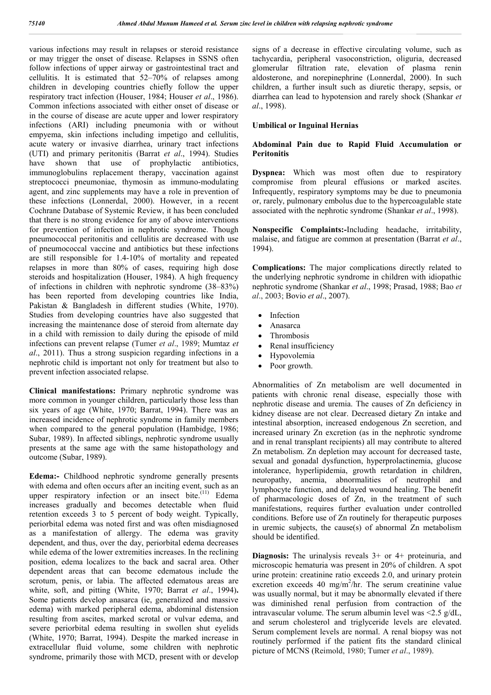various infections may result in relapses or steroid resistance or may trigger the onset of disease. Relapses in SSNS often follow infections of upper airway or gastrointestinal tract and cellulitis. It is estimated that 52–70% of relapses among children in developing countries chiefly follow the upper respiratory tract infection (Houser, 1984; Houser *et al*., 1986). Common infections associated with either onset of disease or in the course of disease are acute upper and lower respiratory infections (ARI) including pneumonia with or without empyema, skin infections including impetigo and cellulitis, acute watery or invasive diarrhea, urinary tract infections (UTI) and primary peritonitis (Barrat *et al*., 1994). Studies have shown that use of prophylactic antibiotics, immunoglobulins replacement therapy, vaccination against streptococci pneumoniae, thymosin as immuno-modulating agent, and zinc supplements may have a role in prevention of these infections (Lonnerdal, 2000). However, in a recent Cochrane Database of Systemic Review, it has been concluded that there is no strong evidence for any of above interventions for prevention of infection in nephrotic syndrome. Though pneumococcal peritonitis and cellulitis are decreased with use of pneumococcal vaccine and antibiotics but these infections are still responsible for 1.4-10% of mortality and repeated relapses in more than 80% of cases, requiring high dose steroids and hospitalization (Houser, 1984). A high frequency of infections in children with nephrotic syndrome (38–83%) has been reported from developing countries like India, Pakistan & Bangladesh in different studies (White, 1970). Studies from developing countries have also suggested that increasing the maintenance dose of steroid from alternate day in a child with remission to daily during the episode of mild infections can prevent relapse (Tumer *et al*., 1989; Mumtaz *et al*., 2011). Thus a strong suspicion regarding infections in a nephrotic child is important not only for treatment but also to prevent infection associated relapse.

**Clinical manifestations:** Primary nephrotic syndrome was more common in younger children, particularly those less than six years of age (White, 1970; Barrat, 1994). There was an increased incidence of nephrotic syndrome in family members when compared to the general population (Hambidge, 1986; Subar, 1989). In affected siblings, nephrotic syndrome usually presents at the same age with the same histopathology and outcome (Subar, 1989).

**Edema:-** Childhood nephrotic syndrome generally presents with edema and often occurs after an inciting event, such as an upper respiratory infection or an insect bite. $(11)$  Edema increases gradually and becomes detectable when fluid retention exceeds 3 to 5 percent of body weight. Typically, periorbital edema was noted first and was often misdiagnosed as a manifestation of allergy. The edema was gravity dependent, and thus, over the day, periorbital edema decreases while edema of the lower extremities increases. In the reclining position, edema localizes to the back and sacral area. Other dependent areas that can become edematous include the scrotum, penis, or labia. The affected edematous areas are white, soft, and pitting (White, 1970; Barrat *et al*., 1994)**.**  Some patients develop anasarca (ie, generalized and massive edema) with marked peripheral edema, abdominal distension resulting from ascites, marked scrotal or vulvar edema, and severe periorbital edema resulting in swollen shut eyelids (White, 1970; Barrat, 1994). Despite the marked increase in extracellular fluid volume, some children with nephrotic syndrome, primarily those with MCD, present with or develop

signs of a decrease in effective circulating volume, such as tachycardia, peripheral vasoconstriction, oliguria, decreased glomerular filtration rate, elevation of plasma renin aldosterone, and norepinephrine (Lonnerdal, 2000). In such children, a further insult such as diuretic therapy, sepsis, or diarrhea can lead to hypotension and rarely shock (Shankar *et al*., 1998).

#### **Umbilical or Inguinal Hernias**

#### **Abdominal Pain due to Rapid Fluid Accumulation or Peritonitis**

**Dyspnea:** Which was most often due to respiratory compromise from pleural effusions or marked ascites. Infrequently, respiratory symptoms may be due to pneumonia or, rarely, pulmonary embolus due to the hypercoagulable state associated with the nephrotic syndrome (Shankar *et al*., 1998).

**Nonspecific Complaints:-**Including headache, irritability, malaise, and fatigue are common at presentation (Barrat *et al*., 1994).

**Complications:** The major complications directly related to the underlying nephrotic syndrome in children with idiopathic nephrotic syndrome (Shankar *et al*., 1998; Prasad, 1988; Bao *et al*., 2003; Bovio *et al*., 2007).

- Infection
- Anasarca
- Thrombosis
- Renal insufficiency
- Hypovolemia
- Poor growth.

Abnormalities of Zn metabolism are well documented in patients with chronic renal disease, especially those with nephrotic disease and uremia. The causes of Zn deficiency in kidney disease are not clear. Decreased dietary Zn intake and intestinal absorption, increased endogenous Zn secretion, and increased urinary Zn excretion (as in the nephrotic syndrome and in renal transplant recipients) all may contribute to altered Zn metabolism. Zn depletion may account for decreased taste, sexual and gonadal dysfunction, hyperprolactinemia, glucose intolerance, hyperlipidemia, growth retardation in children, neuropathy, anemia, abnormalities of neutrophil and lymphocyte function, and delayed wound healing. The benefit of pharmacologic doses of Zn, in the treatment of such manifestations, requires further evaluation under controlled conditions. Before use of Zn routinely for therapeutic purposes in uremic subjects, the cause(s) of abnormal Zn metabolism should be identified.

**Diagnosis:** The urinalysis reveals  $3+$  or  $4+$  proteinuria, and microscopic hematuria was present in 20% of children. A spot urine protein: creatinine ratio exceeds 2.0, and urinary protein excretion exceeds 40 mg/m<sup>2</sup>/hr. The serum creatinine value was usually normal, but it may be abnormally elevated if there was diminished renal perfusion from contraction of the intravascular volume. The serum albumin level was <2.5 g/dL, and serum cholesterol and triglyceride levels are elevated. Serum complement levels are normal. A renal biopsy was not routinely performed if the patient fits the standard clinical picture of MCNS (Reimold, 1980; Tumer *et al*., 1989).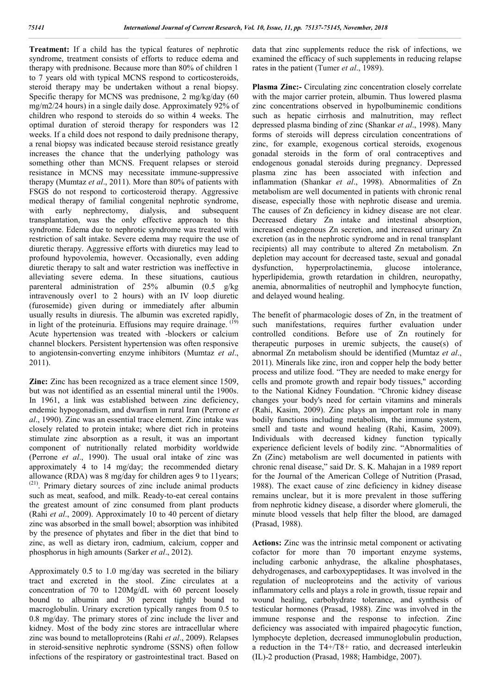**Treatment:** If a child has the typical features of nephrotic syndrome, treatment consists of efforts to reduce edema and therapy with prednisone. Because more than 80% of children 1 to 7 years old with typical MCNS respond to corticosteroids, steroid therapy may be undertaken without a renal biopsy. Specific therapy for MCNS was prednisone, 2 mg/kg/day (60 mg/m2/24 hours) in a single daily dose. Approximately 92% of children who respond to steroids do so within 4 weeks. The optimal duration of steroid therapy for responders was 12 weeks. If a child does not respond to daily prednisone therapy, a renal biopsy was indicated because steroid resistance greatly increases the chance that the underlying pathology was something other than MCNS. Frequent relapses or steroid resistance in MCNS may necessitate immune-suppressive therapy (Mumtaz *et al*., 2011). More than 80% of patients with FSGS do not respond to corticosteroid therapy. Aggressive medical therapy of familial congenital nephrotic syndrome, with early nephrectomy, dialysis, and subsequent transplantation, was the only effective approach to this syndrome. Edema due to nephrotic syndrome was treated with restriction of salt intake. Severe edema may require the use of diuretic therapy. Aggressive efforts with diuretics may lead to profound hypovolemia, however. Occasionally, even adding diuretic therapy to salt and water restriction was ineffective in alleviating severe edema. In these situations, cautious parenteral administration of 25% albumin (0.5 g/kg intravenously over1 to 2 hours) with an IV loop diuretic (furosemide) given during or immediately after albumin usually results in diuresis. The albumin was excreted rapidly, in light of the proteinuria. Effusions may require drainage. <sup>(19)</sup> Acute hypertension was treated with -blockers or calcium channel blockers. Persistent hypertension was often responsive to angiotensin-converting enzyme inhibitors (Mumtaz *et al*., 2011).

**Zinc:** Zinc has been recognized as a trace element since 1509, but was not identified as an essential mineral until the 1900s. In 1961, a link was established between zinc deficiency, endemic hypogonadism, and dwarfism in rural Iran (Perrone *et al*., 1990). Zinc was an essential trace element. Zinc intake was closely related to protein intake; where diet rich in proteins stimulate zinc absorption as a result, it was an important component of nutritionally related morbidity worldwide (Perrone *et al*., 1990). The usual oral intake of zinc was approximately 4 to 14 mg/day; the recommended dietary allowance (RDA) was 8 mg/day for children ages 9 to 11years; (21) . Primary dietary sources of zinc include animal products such as meat, seafood, and milk. Ready-to-eat cereal contains the greatest amount of zinc consumed from plant products (Rahi *et al*., 2009). Approximately 10 to 40 percent of dietary zinc was absorbed in the small bowel; absorption was inhibited by the presence of phytates and fiber in the diet that bind to zinc, as well as dietary iron, cadmium, calcium, copper and phosphorus in high amounts (Sarker *et al*., 2012).

Approximately 0.5 to 1.0 mg/day was secreted in the biliary tract and excreted in the stool. Zinc circulates at a concentration of 70 to 120Mg/dL with 60 percent loosely bound to albumin and 30 percent tightly bound to macroglobulin. Urinary excretion typically ranges from 0.5 to 0.8 mg/day. The primary stores of zinc include the liver and kidney. Most of the body zinc stores are intracellular where zinc was bound to metalloproteins (Rahi *et al*., 2009). Relapses in steroid-sensitive nephrotic syndrome (SSNS) often follow infections of the respiratory or gastrointestinal tract. Based on

data that zinc supplements reduce the risk of infections, we examined the efficacy of such supplements in reducing relapse rates in the patient (Tumer *et al*., 1989).

**Plasma Zinc:-** Circulating zinc concentration closely correlate with the major carrier protein, albumin. Thus lowered plasma zinc concentrations observed in hypolbuminemic conditions such as hepatic cirrhosis and malnutrition, may reflect depressed plasma binding of zinc (Shankar *et al*., 1998). Many forms of steroids will depress circulation concentrations of zinc, for example, exogenous cortical steroids, exogenous gonadal steroids in the form of oral contraceptives and endogenous gonadal steroids during pregnancy. Depressed plasma zinc has been associated with infection and inflammation (Shankar *et al*., 1998). Abnormalities of Zn metabolism are well documented in patients with chronic renal disease, especially those with nephrotic disease and uremia. The causes of Zn deficiency in kidney disease are not clear. Decreased dietary Zn intake and intestinal absorption, increased endogenous Zn secretion, and increased urinary Zn excretion (as in the nephrotic syndrome and in renal transplant recipients) all may contribute to altered Zn metabolism. Zn depletion may account for decreased taste, sexual and gonadal dysfunction, hyperprolactinemia, glucose intolerance, hyperlipidemia, growth retardation in children, neuropathy, anemia, abnormalities of neutrophil and lymphocyte function, and delayed wound healing.

The benefit of pharmacologic doses of Zn, in the treatment of such manifestations, requires further evaluation under controlled conditions. Before use of Zn routinely for therapeutic purposes in uremic subjects, the cause(s) of abnormal Zn metabolism should be identified (Mumtaz *et al*., 2011). Minerals like zinc, iron and copper help the body better process and utilize food. "They are needed to make energy for cells and promote growth and repair body tissues," according to the National Kidney Foundation. "Chronic kidney disease changes your body's need for certain vitamins and minerals (Rahi, Kasim, 2009). Zinc plays an important role in many bodily functions including metabolism, the immune system, smell and taste and wound healing (Rahi, Kasim, 2009). Individuals with decreased kidney function typically experience deficient levels of bodily zinc. "Abnormalities of Zn (Zinc) metabolism are well documented in patients with chronic renal disease," said Dr. S. K. Mahajan in a 1989 report for the Journal of the American College of Nutrition (Prasad, 1988). The exact cause of zinc deficiency in kidney disease remains unclear, but it is more prevalent in those suffering from nephrotic kidney disease, a disorder where glomeruli, the minute blood vessels that help filter the blood, are damaged (Prasad, 1988).

**Actions:** Zinc was the intrinsic metal component or activating cofactor for more than 70 important enzyme systems, including carbonic anhydrase, the alkaline phosphatases, dehydrogenases, and carboxypeptidases. It was involved in the regulation of nucleoproteins and the activity of various inflammatory cells and plays a role in growth, tissue repair and wound healing, carbohydrate tolerance, and synthesis of testicular hormones (Prasad, 1988). Zinc was involved in the immune response and the response to infection. Zinc deficiency was associated with impaired phagocytic function. lymphocyte depletion, decreased immunoglobulin production, a reduction in the T4+/T8+ ratio, and decreased interleukin (IL)-2 production (Prasad, 1988; Hambidge, 2007).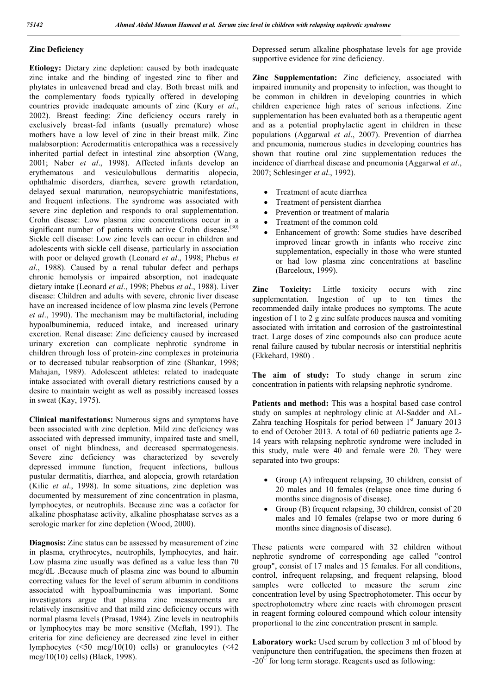#### **Zinc Deficiency**

**Etiology:** Dietary zinc depletion: caused by both inadequate zinc intake and the binding of ingested zinc to fiber and phytates in unleavened bread and clay. Both breast milk and the complementary foods typically offered in developing countries provide inadequate amounts of zinc (Kury *et al*., 2002). Breast feeding: Zinc deficiency occurs rarely in exclusively breast-fed infants (usually premature) whose mothers have a low level of zinc in their breast milk. Zinc malabsorption: Acrodermatitis enteropathica was a recessively inherited partial defect in intestinal zinc absorption (Wang, 2001; Naber *et al*., 1998). Affected infants develop an erythematous and vesiculobullous dermatitis alopecia, ophthalmic disorders, diarrhea, severe growth retardation, delayed sexual maturation, neuropsychiatric manifestations, and frequent infections. The syndrome was associated with severe zinc depletion and responds to oral supplementation. Crohn disease: Low plasma zinc concentrations occur in a significant number of patients with active Crohn disease.<sup>(30)</sup> Sickle cell disease: Low zinc levels can occur in children and adolescents with sickle cell disease, particularly in association with poor or delayed growth (Leonard *et al*., 1998; Phebus *et al*., 1988). Caused by a renal tubular defect and perhaps chronic hemolysis or impaired absorption, not inadequate dietary intake (Leonard *et al*., 1998; Phebus *et al*., 1988). Liver disease: Children and adults with severe, chronic liver disease have an increased incidence of low plasma zinc levels (Perrone *et al*., 1990). The mechanism may be multifactorial, including hypoalbuminemia, reduced intake, and increased urinary excretion. Renal disease: Zinc deficiency caused by increased urinary excretion can complicate nephrotic syndrome in children through loss of protein-zinc complexes in proteinuria or to decreased tubular reabsorption of zinc (Shankar, 1998; Mahajan, 1989). Adolescent athletes: related to inadequate intake associated with overall dietary restrictions caused by a desire to maintain weight as well as possibly increased losses in sweat (Kay, 1975).

**Clinical manifestations:** Numerous signs and symptoms have been associated with zinc depletion. Mild zinc deficiency was associated with depressed immunity, impaired taste and smell, onset of night blindness, and decreased spermatogenesis. Severe zinc deficiency was characterized by severely depressed immune function, frequent infections, bullous pustular dermatitis, diarrhea, and alopecia, growth retardation (Kilic *et al*., 1998). In some situations, zinc depletion was documented by measurement of zinc concentration in plasma, lymphocytes, or neutrophils. Because zinc was a cofactor for alkaline phosphatase activity, alkaline phosphatase serves as a serologic marker for zinc depletion (Wood, 2000).

**Diagnosis:** Zinc status can be assessed by measurement of zinc in plasma, erythrocytes, neutrophils, lymphocytes, and hair. Low plasma zinc usually was defined as a value less than 70 mcg/dL .Because much of plasma zinc was bound to albumin correcting values for the level of serum albumin in conditions associated with hypoalbuminemia was important. Some investigators argue that plasma zinc measurements are relatively insensitive and that mild zinc deficiency occurs with normal plasma levels (Prasad, 1984). Zinc levels in neutrophils or lymphocytes may be more sensitive (Meftah, 1991). The criteria for zinc deficiency are decreased zinc level in either lymphocytes (<50 mcg/10(10) cells) or granulocytes (<42 mcg/10(10) cells) (Black, 1998).

Depressed serum alkaline phosphatase levels for age provide supportive evidence for zinc deficiency.

**Zinc Supplementation:** Zinc deficiency, associated with impaired immunity and propensity to infection, was thought to be common in children in developing countries in which children experience high rates of serious infections. Zinc supplementation has been evaluated both as a therapeutic agent and as a potential prophylactic agent in children in these populations (Aggarwal *et al*., 2007). Prevention of diarrhea and pneumonia, numerous studies in developing countries has shown that routine oral zinc supplementation reduces the incidence of diarrheal disease and pneumonia (Aggarwal *et al*., 2007; Schlesinger *et al*., 1992).

- Treatment of acute diarrhea
- Treatment of persistent diarrhea
- Prevention or treatment of malaria
- Treatment of the common cold
- Enhancement of growth: Some studies have described improved linear growth in infants who receive zinc supplementation, especially in those who were stunted or had low plasma zinc concentrations at baseline (Barceloux, 1999).

**Zinc Toxicity:** Little toxicity occurs with zinc supplementation. Ingestion of up to ten times the recommended daily intake produces no symptoms. The acute ingestion of 1 to 2 g zinc sulfate produces nausea and vomiting associated with irritation and corrosion of the gastrointestinal tract. Large doses of zinc compounds also can produce acute renal failure caused by tubular necrosis or interstitial nephritis (Ekkehard, 1980) .

**The aim of study:** To study change in serum zinc concentration in patients with relapsing nephrotic syndrome.

**Patients and method:** This was a hospital based case control study on samples at nephrology clinic at Al-Sadder and AL-Zahra teaching Hospitals for period between 1<sup>st</sup> January 2013 to end of October 2013. A total of 60 pediatric patients age 2- 14 years with relapsing nephrotic syndrome were included in this study, male were 40 and female were 20. They were separated into two groups:

- Group (A) infrequent relapsing, 30 children, consist of 20 males and 10 females (relapse once time during 6 months since diagnosis of disease).
- Group (B) frequent relapsing, 30 children, consist of 20 males and 10 females (relapse two or more during 6 months since diagnosis of disease).

These patients were compared with 32 children without nephrotic syndrome of corresponding age called "control group", consist of 17 males and 15 females. For all conditions, control, infrequent relapsing, and frequent relapsing, blood samples were collected to measure the serum zinc concentration level by using Spectrophotometer. This occur by spectrophotometry where zinc reacts with chromogen present in reagent forming coloured compound which colour intensity proportional to the zinc concentration present in sample.

**Laboratory work:** Used serum by collection 3 ml of blood by venipuncture then centrifugation, the specimens then frozen at  $-20^{\circ}$  for long term storage. Reagents used as following: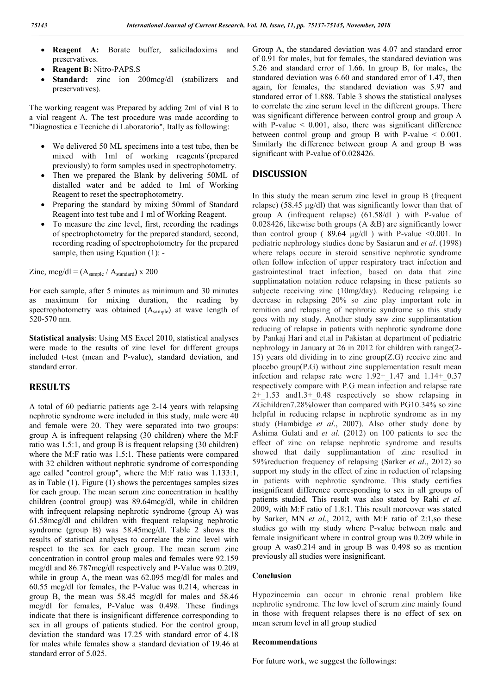- **Reagent A:** Borate buffer, saliciladoxims and preservatives.
- **Reagent B:** Nitro-PAPS.S
- Standard: zinc ion 200mcg/dl (stabilizers and preservatives).

The working reagent was Prepared by adding 2ml of vial B to a vial reagent A. The test procedure was made according to "Diagnostica e Tecniche di Laboratorio", Itally as following:

- We delivered 50 ML specimens into a test tube, then be mixed with 1ml of working reagents`(prepared previously) to form samples used in spectrophotometry.
- Then we prepared the Blank by delivering 50ML of distalled water and be added to 1ml of Working Reagent to reset the spectrophotometry.
- Preparing the standard by mixing 50mml of Standard Reagent into test tube and 1 ml of Working Reagent.
- To measure the zinc level, first, recording the readings of spectrophotometry for the prepared standard, second, recording reading of spectrophotometry for the prepared sample, then using Equation (1): -

Zinc, mcg/dl =  $(A_{sample} / A_{standard})$  x 200

For each sample, after 5 minutes as minimum and 30 minutes as maximum for mixing duration, the reading by spectrophotometry was obtained (Asample) at wave length of 520-570 nm.

**Statistical analysis**: Using MS Excel 2010, statistical analyses were made to the results of zinc level for different groups included t-test (mean and P-value), standard deviation, and standard error.

## **RESULTS**

A total of 60 pediatric patients age 2-14 years with relapsing nephrotic syndrome were included in this study, male were 40 and female were 20. They were separated into two groups: group A is infrequent relapsing (30 children) where the M:F ratio was 1.5:1, and group B is frequent relapsing (30 children) where the M:F ratio was 1.5:1. These patients were compared with 32 children without nephrotic syndrome of corresponding age called "control group", where the M:F ratio was 1.133:1, as in Table (1). Figure (1) shows the percentages samples sizes for each group. The mean serum zinc concentration in healthy children (control group) was 89.64mcg/dl, while in children with infrequent relapsing nephrotic syndrome (group A) was 61.58mcg/dl and children with frequent relapsing nephrotic syndrome (group B) was 58.45mcg/dl. Table 2 shows the results of statistical analyses to correlate the zinc level with respect to the sex for each group. The mean serum zinc concentration in control group males and females were 92.159 mcg/dl and 86.787mcg/dl respectively and P-Value was 0.209, while in group A, the mean was 62.095 mcg/dl for males and 60.55 mcg/dl for females, the P-Value was 0.214, whereas in group B, the mean was 58.45 mcg/dl for males and 58.46 mcg/dl for females, P-Value was 0.498. These findings indicate that there is insignificant difference corresponding to sex in all groups of patients studied. For the control group, deviation the standard was 17.25 with standard error of 4.18 for males while females show a standard deviation of 19.46 at standard error of 5.025.

Group A, the standared deviation was 4.07 and standard error of 0.91 for males, but for females, the standared deviation was 5.26 and standard error of 1.66. In group B, for males, the standared deviation was 6.60 and standared error of 1.47, then again, for females, the standared deviation was 5.97 and standared error of 1.888. Table 3 shows the statistical analyses to correlate the zinc serum level in the different groups. There was significant difference between control group and group A with P-value  $\leq 0.001$ , also, there was significant difference between control group and group B with P-value < 0.001. Similarly the difference between group A and group B was significant with P-value of 0.028426.

### **DISCUSSION**

In this study the mean serum zinc level in group B (frequent relapse) (58.45 µg/dl) that was significantly lower than that of group A (infrequent relapse) (61.58/dl ) with P-value of 0.028426, likewise both groups (A &B) are significantly lower than control group ( $89.64 \text{ µg/dl}$ ) with P-value <0.001. In pediatric nephrology studies done by Sasiarun and *et al*. (1998) where relaps occure in steroid sensitive nephrotic syndrome often follow infection of upper respiratory tract infection and gastrointestinal tract infection, based on data that zinc supplimatation notation reduce relapsing in these patients so subjecte receiving zinc (10mg/day). Reducing relapsing i.e decrease in relapsing 20% so zinc play important role in remition and relapsing of nephrotic syndrome so this study goes with my study. Another study saw zinc supplimantation reducing of relapse in patients with nephrotic syndrome done by Pankaj Hari and et.al in Pakistan at department of pediatric nephrology in January at 26 in 2012 for children with range(2- 15) years old dividing in to zinc group(Z.G) receive zinc and placebo group(P.G) without zinc supplementation result mean infection and relapse rate were  $1.92+1.47$  and  $1.14+0.37$ respectively compare with P.G mean infection and relapse rate  $2+1.53$  and  $1.3+0.48$  respectively so show relapsing in ZGchildren7.28%lower than compared with PG10.34% so zinc helpful in reducing relapse in nephrotic syndrome as in my study (Hambidge *et al*., 2007). Also other study done by Ashima Gulati and *et al*. (2012) on 100 patients to see the effect of zinc on relapse nephrotic syndrome and results showed that daily supplimantation of zinc resulted in 59%reduction frequency of relapsing (Sarker *et al*., 2012) so support my study in the effect of zinc in reduction of relapsing in patients with nephrotic syndrome. This study certifies insignificant difference corresponding to sex in all groups of patients studied. This result was also stated by Rahi *et al.* 2009, with M:F ratio of 1.8:1. This result moreover was stated by Sarker, MN *et al*., 2012, with M:F ratio of 2:1,so these studies go with my study where P-value between male and female insignificant where in control group was 0.209 while in group A was0.214 and in group B was 0.498 so as mention previously all studies were insignificant.

#### **Conclusion**

Hypozincemia can occur in chronic renal problem like nephrotic syndrome. The low level of serum zinc mainly found in those with frequent relapses there is no effect of sex on mean serum level in all group studied

#### **Recommendations**

For future work, we suggest the followings: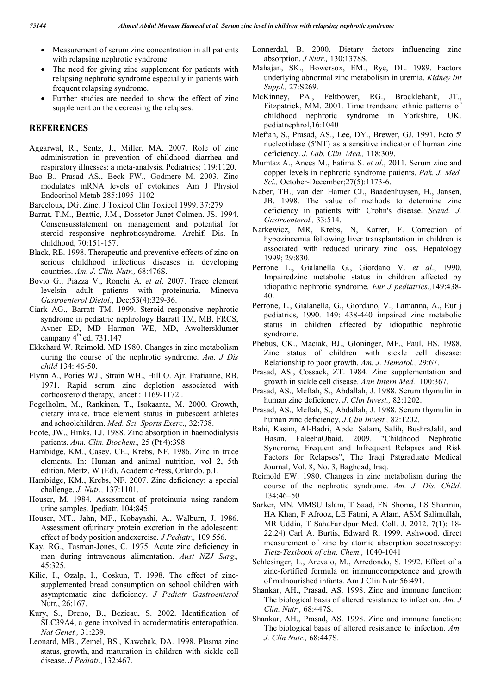- Measurement of serum zinc concentration in all patients with relapsing nephrotic syndrome
- The need for giving zinc supplement for patients with relapsing nephrotic syndrome especially in patients with frequent relapsing syndrome.
- Further studies are needed to show the effect of zinc supplement on the decreasing the relapses.

#### **REFERENCES**

- Aggarwal, R., Sentz, J., Miller, MA. 2007. Role of zinc administration in prevention of childhood diarrhea and respiratory illnesses: a meta-analysis. Pediatrics; 119:1120.
- Bao B., Prasad AS., Beck FW., Godmere M. 2003. Zinc modulates mRNA levels of cytokines. Am J Physiol Endocrinol Metab 285:1095–1102
- Barceloux, DG. Zinc. J Toxicol Clin Toxicol 1999. 37:279.
- Barrat, T.M., Beattic, J.M., Dossetor Janet Colmen. JS. 1994. Consensusstatement on management and potential for steroid responsive nephroticsyndrome. Archif. Dis. In childhood, 70:151-157.
- Black, RE. 1998. Therapeutic and preventive effects of zinc on serious childhood infectious diseases in developing countries. *Am. J. Clin. Nutr.,* 68:476S.
- Bovio G., Piazza V., Ronchi A. *et al*. 2007. Trace element levelsin adult patients with proteinuria. Minerva *Gastroenterol Dietol*., Dec;53(4):329-36.
- Ciark AG., Barratt TM. 1999. Steroid responsive nephrotic syndrome in pediatric nephrology Barratt TM, MB. FRCS, Avner ED, MD Harmon WE, MD, Awoltersklumer campany  $4<sup>th</sup>$  ed. 731.147
- Ekkehard W. Reimold. MD 1980. Changes in zinc metabolism during the course of the nephrotic syndrome. *Am. J Dis child* 134: 46-50.
- Flynn A., Pories WJ., Strain WH., Hill O. Ajr, Fratianne, RB. 1971. Rapid serum zinc depletion associated with corticosteroid therapy, lancet : 1169-1172 .
- Fogelholm, M., Rankinen, T., Isokaanta, M. 2000. Growth, dietary intake, trace element status in pubescent athletes and schoolchildren. *Med. Sci. Sports Exerc.,* 32:738.
- Foote, JW., Hinks, LJ. 1988. Zinc absorption in haemodialysis patients. *Ann. Clin. Biochem.,* 25 (Pt 4):398.
- Hambidge, KM., Casey, CE., Krebs, NF. 1986. Zinc in trace elements. In: Human and animal nutrition, vol 2, 5th edition, Mertz, W (Ed), AcademicPress, Orlando. p.1.
- Hambidge, KM., Krebs, NF. 2007. Zinc deficiency: a special challenge. *J. Nutr.,* 137:1101.
- Houser, M. 1984. Assessment of proteinuria using random urine samples. Jpediatr, 104:845.
- Houser, MT., Jahn, MF., Kobayashi, A., Walburn, J. 1986. Assessment ofurinary protein excretion in the adolescent: effect of body position andexercise. *J Pediatr.,* 109:556.
- Kay, RG., Tasman-Jones, C. 1975. Acute zinc deficiency in man during intravenous alimentation. *Aust NZJ Surg.,* 45:325.
- Kilic, I., Ozalp, I., Coskun, T. 1998. The effect of zincsupplemented bread consumption on school children with asymptomatic zinc deficiency. *J Pediatr Gastroenterol* Nutr., 26:167.
- Kury, S., Dreno, B., Bezieau, S. 2002. Identification of SLC39A4, a gene involved in acrodermatitis enteropathica. *Nat Genet.,* 31:239.
- Leonard, MB., Zemel, BS., Kawchak, DA. 1998. Plasma zinc status, growth, and maturation in children with sickle cell disease. *J Pediatr.,*132:467.

Lonnerdal, B. 2000. Dietary factors influencing zinc absorption. *J Nutr.,* 130:1378S.

- Mahajan, SK., Bowersox, EM., Rye, DL. 1989. Factors underlying abnormal zinc metabolism in uremia. *Kidney Int Suppl.,* 27:S269.
- McKinney, PA., Feltbower, RG., Brocklebank, JT., Fitzpatrick, MM. 2001. Time trendsand ethnic patterns of childhood nephrotic syndrome in Yorkshire, UK. pediatnephrol,16:1040
- Meftah, S., Prasad, AS., Lee, DY., Brewer, GJ. 1991. Ecto 5' nucleotidase (5'NT) as a sensitive indicator of human zinc deficiency. *J. Lab. Clin. Med.,* 118:309.
- Mumtaz A., Anees M., Fatima S. *et al*., 2011. Serum zinc and copper levels in nephrotic syndrome patients. *Pak. J. Med. Sci.,* October-December;27(5):1173-6.
- Naber, TH., van den Hamer CJ., Baadenhuysen, H., Jansen, JB. 1998. The value of methods to determine zinc deficiency in patients with Crohn's disease. *Scand. J. Gastroenterol.,* 33:514.
- Narkewicz, MR, Krebs, N, Karrer, F. Correction of hypozincemia following liver transplantation in children is associated with reduced urinary zinc loss. Hepatology 1999; 29:830.
- Perrone L., Gialanella G., Giordano V. *et al*., 1990. Impairedzinc metabolic status in children affected by idiopathic nephrotic syndrome. *Eur J pediatrics.,*149:438- 40.
- Perrone, L., Gialanella, G., Giordano, V., Lamanna, A., Eur j pediatrics, 1990. 149: 438-440 impaired zinc metabolic status in children affected by idiopathic nephrotic syndrome.
- Phebus, CK., Maciak, BJ., Gloninger, MF., Paul, HS. 1988. Zinc status of children with sickle cell disease: Relationship to poor growth. *Am. J. Hematol.,* 29:67.
- Prasad, AS., Cossack, ZT. 1984. Zinc supplementation and growth in sickle cell disease. *Ann Intern Med.,* 100:367.
- Prasad, AS., Meftah, S., Abdallah, J. 1988. Serum thymulin in human zinc deficiency. *J. Clin Invest.,* 82:1202.
- Prasad, AS., Meftah, S., Abdallah, J. 1988. Serum thymulin in human zinc deficiency. *J.Clin Invest.,* 82:1202.
- Rahi, Kasim, Al-Badri, Abdel Salam, Salih, BushraJalil, and Hasan, FaleehaObaid, 2009. "Childhood Nephrotic Syndrome, Frequent and Infrequent Relapses and Risk Factors for Relapses", The Iraqi Pstgraduate Medical Journal, Vol. 8, No. 3, Baghdad, Iraq.
- Reimold EW. 1980. Changes in zinc metabolism during the course of the nephrotic syndrome. *Am. J. Dis. Child*.  $134.46 - 50$
- Sarker, MN. MMSU Islam, T Saad, FN Shoma, LS Sharmin, HA Khan, F Afrooz, LE Fatmi, A Alam, ASM Salimullah, MR Uddin, T SahaFaridpur Med. Coll. J. 2012. 7(1): 18- 22.24) Carl A. Burtis, Edward R. 1999. Ashwood. direct measurement of zinc by atomic absorption soectroscopy: *Tietz-Textbook of clin. Chem.,* 1040-1041
- Schlesinger, L., Arevalo, M., Arredondo, S. 1992. Effect of a zinc-fortified formula on immunocompetence and growth of malnourished infants. Am J Clin Nutr 56:491.
- Shankar, AH., Prasad, AS. 1998. Zinc and immune function: The biological basis of altered resistance to infection. *Am. J Clin. Nutr.,* 68:447S.
- Shankar, AH., Prasad, AS. 1998. Zinc and immune function: The biological basis of altered resistance to infection. *Am. J. Clin Nutr.,* 68:447S.